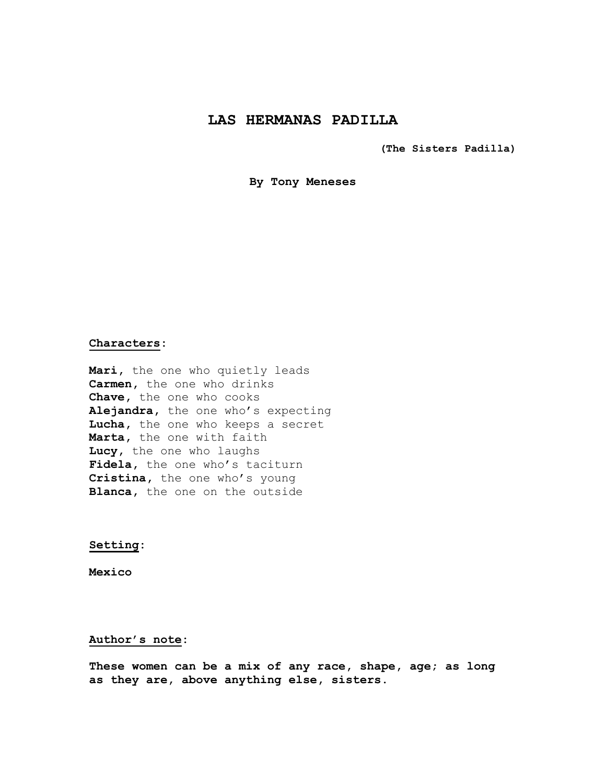# **LAS HERMANAS PADILLA**

**(The Sisters Padilla)**

**By Tony Meneses**

### **Characters:**

**Mari,** the one who quietly leads **Carmen,** the one who drinks **Chave,** the one who cooks **Alejandra,** the one who's expecting **Lucha,** the one who keeps a secret **Marta,** the one with faith **Lucy,** the one who laughs Fidela, the one who's taciturn **Cristina,** the one who's young **Blanca,** the one on the outside

**Setting:**

**Mexico**

#### **Author's note:**

**These women can be a mix of any race, shape, age; as long as they are, above anything else, sisters.**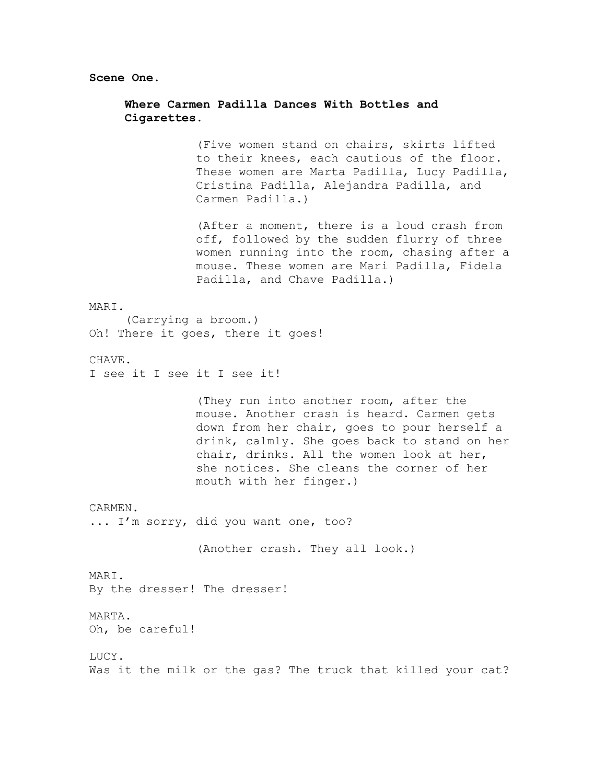**Scene One.**

## **Where Carmen Padilla Dances With Bottles and Cigarettes.**

(Five women stand on chairs, skirts lifted to their knees, each cautious of the floor. These women are Marta Padilla, Lucy Padilla, Cristina Padilla, Alejandra Padilla, and Carmen Padilla.)

(After a moment, there is a loud crash from off, followed by the sudden flurry of three women running into the room, chasing after a mouse. These women are Mari Padilla, Fidela Padilla, and Chave Padilla.)

#### MARI.

(Carrying a broom.) Oh! There it goes, there it goes!

CHAVE.

I see it I see it I see it!

(They run into another room, after the mouse. Another crash is heard. Carmen gets down from her chair, goes to pour herself a drink, calmly. She goes back to stand on her chair, drinks. All the women look at her, she notices. She cleans the corner of her mouth with her finger.)

CARMEN.

... I'm sorry, did you want one, too?

(Another crash. They all look.)

MARI. By the dresser! The dresser!

MARTA.

Oh, be careful!

LUCY. Was it the milk or the gas? The truck that killed your cat?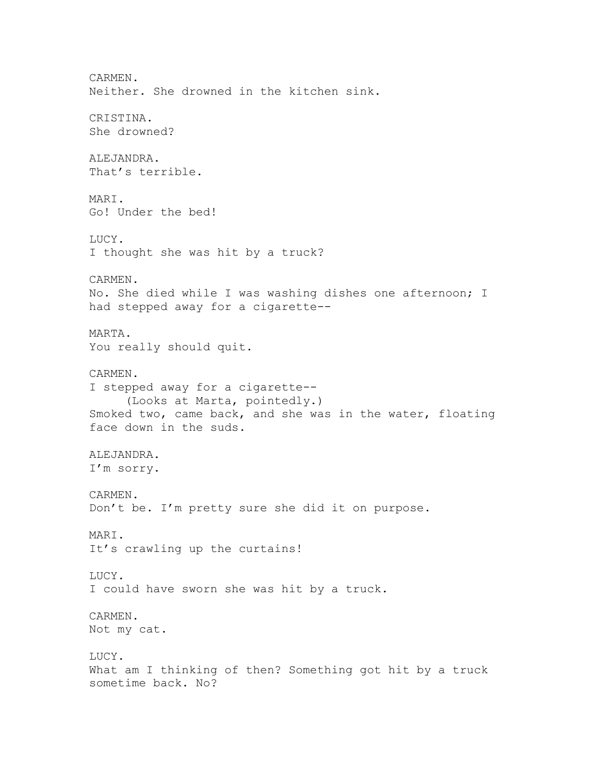CARMEN. Neither. She drowned in the kitchen sink. CRISTINA. She drowned? ALEJANDRA. That's terrible. MARI. Go! Under the bed! LUCY. I thought she was hit by a truck? CARMEN. No. She died while I was washing dishes one afternoon; I had stepped away for a cigarette-- MARTA. You really should quit. CARMEN. I stepped away for a cigarette-- (Looks at Marta, pointedly.) Smoked two, came back, and she was in the water, floating face down in the suds. ALEJANDRA. I'm sorry. CARMEN. Don't be. I'm pretty sure she did it on purpose. MARI. It's crawling up the curtains! LUCY. I could have sworn she was hit by a truck. CARMEN. Not my cat. LUCY. What am I thinking of then? Something got hit by a truck sometime back. No?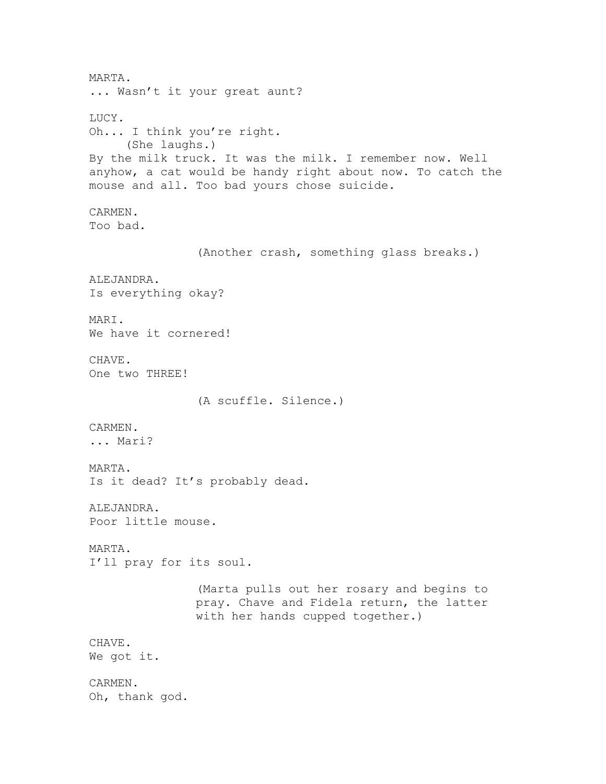MARTA. ... Wasn't it your great aunt? LUCY. Oh... I think you're right. (She laughs.) By the milk truck. It was the milk. I remember now. Well anyhow, a cat would be handy right about now. To catch the mouse and all. Too bad yours chose suicide. CARMEN. Too bad. (Another crash, something glass breaks.) ALEJANDRA. Is everything okay? MARI. We have it cornered! CHAVE. One two THREE! (A scuffle. Silence.) CARMEN. ... Mari? MARTA. Is it dead? It's probably dead. ALEJANDRA. Poor little mouse. MARTA. I'll pray for its soul. (Marta pulls out her rosary and begins to pray. Chave and Fidela return, the latter with her hands cupped together.) CHAVE. We got it. CARMEN. Oh, thank god.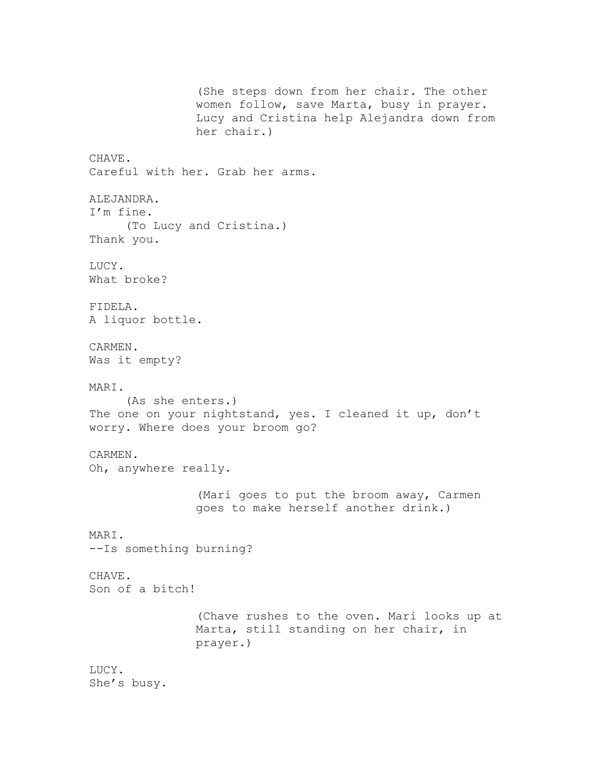(She steps down from her chair. The other women follow, save Marta, busy in prayer. Lucy and Cristina help Alejandra down from her chair.) CHAVE. Careful with her. Grab her arms. ALEJANDRA. I'm fine. (To Lucy and Cristina.) Thank you. LUCY. What broke? FIDELA. A liquor bottle. CARMEN. Was it empty? MARI. (As she enters.) The one on your nightstand, yes. I cleaned it up, don't worry. Where does your broom go? CARMEN. Oh, anywhere really. (Mari goes to put the broom away, Carmen goes to make herself another drink.) MARI. --Is something burning? CHAVE. Son of a bitch! (Chave rushes to the oven. Mari looks up at Marta, still standing on her chair, in prayer.) LUCY. She's busy.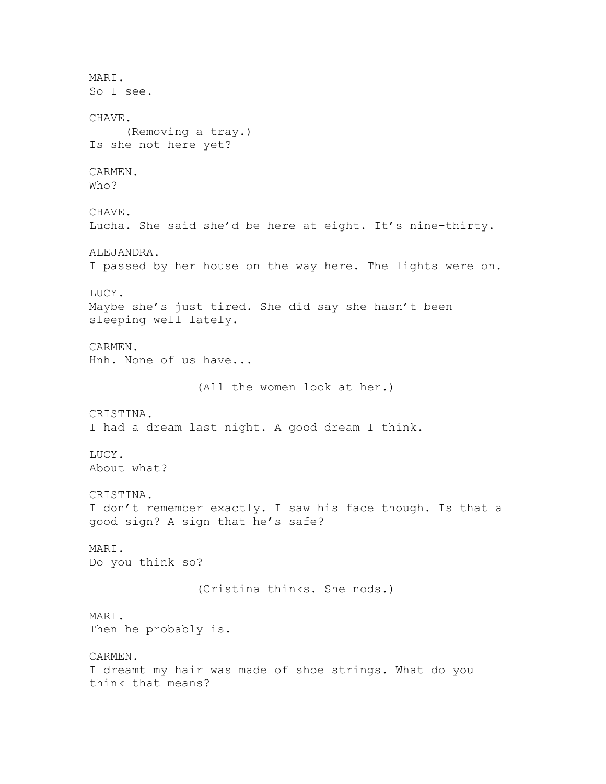MARI. So I see. CHAVE. (Removing a tray.) Is she not here yet? CARMEN. Who? CHAVE. Lucha. She said she'd be here at eight. It's nine-thirty. ALEJANDRA. I passed by her house on the way here. The lights were on. LUCY. Maybe she's just tired. She did say she hasn't been sleeping well lately. CARMEN. Hnh. None of us have... (All the women look at her.) CRISTINA. I had a dream last night. A good dream I think. LUCY. About what? CRISTINA. I don't remember exactly. I saw his face though. Is that a good sign? A sign that he's safe? MARI. Do you think so? (Cristina thinks. She nods.) MARI. Then he probably is. CARMEN. I dreamt my hair was made of shoe strings. What do you think that means?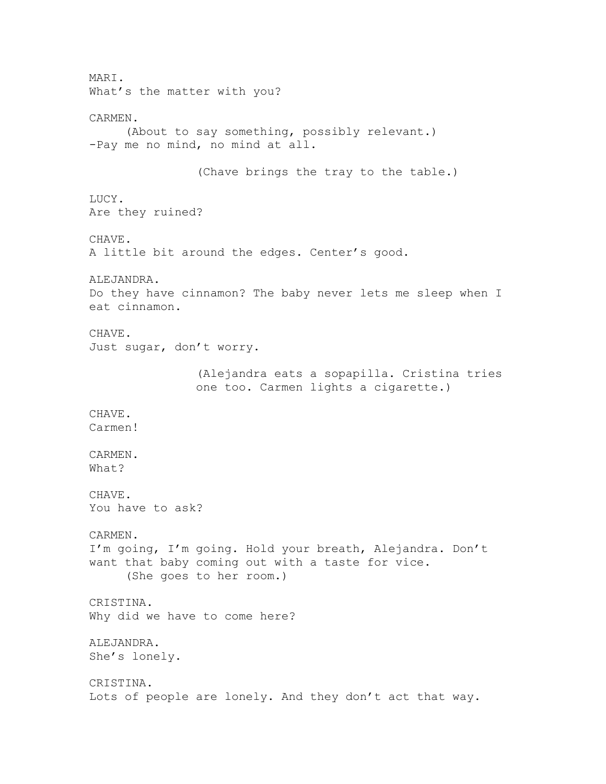MARI. What's the matter with you? CARMEN. (About to say something, possibly relevant.) -Pay me no mind, no mind at all. (Chave brings the tray to the table.) LUCY. Are they ruined? CHAVE. A little bit around the edges. Center's good. ALEJANDRA. Do they have cinnamon? The baby never lets me sleep when I eat cinnamon. CHAVE. Just sugar, don't worry. (Alejandra eats a sopapilla. Cristina tries one too. Carmen lights a cigarette.) CHAVE. Carmen! CARMEN. What? CHAVE. You have to ask? CARMEN. I'm going, I'm going. Hold your breath, Alejandra. Don't want that baby coming out with a taste for vice. (She goes to her room.) CRISTINA. Why did we have to come here? ALEJANDRA. She's lonely. CRISTINA. Lots of people are lonely. And they don't act that way.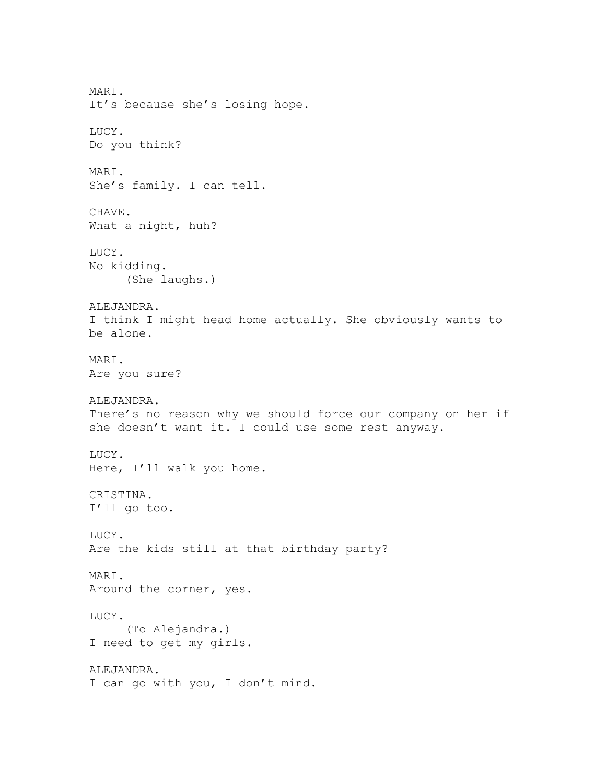MARI. It's because she's losing hope. LUCY. Do you think? MARI. She's family. I can tell. CHAVE. What a night, huh? LUCY. No kidding. (She laughs.) ALEJANDRA. I think I might head home actually. She obviously wants to be alone. MARI. Are you sure? ALEJANDRA. There's no reason why we should force our company on her if she doesn't want it. I could use some rest anyway. LUCY. Here, I'll walk you home. CRISTINA. I'll go too. LUCY. Are the kids still at that birthday party? MARI. Around the corner, yes. LUCY. (To Alejandra.) I need to get my girls. ALEJANDRA. I can go with you, I don't mind.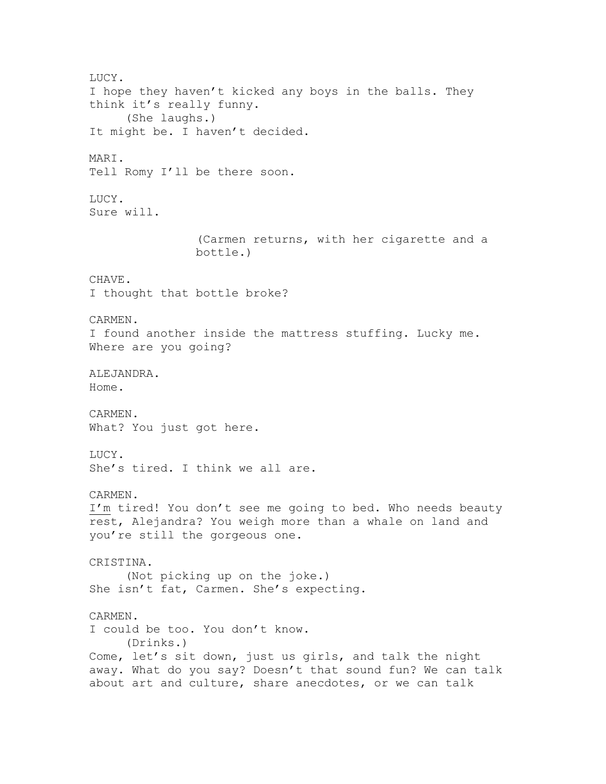LUCY. I hope they haven't kicked any boys in the balls. They think it's really funny. (She laughs.) It might be. I haven't decided. MARI. Tell Romy I'll be there soon. LUCY. Sure will. (Carmen returns, with her cigarette and a bottle.) CHAVE. I thought that bottle broke? CARMEN. I found another inside the mattress stuffing. Lucky me. Where are you going? ALEJANDRA. Home. CARMEN. What? You just got here. LUCY. She's tired. I think we all are. CARMEN. I'm tired! You don't see me going to bed. Who needs beauty rest, Alejandra? You weigh more than a whale on land and you're still the gorgeous one. CRISTINA. (Not picking up on the joke.) She isn't fat, Carmen. She's expecting. CARMEN. I could be too. You don't know. (Drinks.) Come, let's sit down, just us girls, and talk the night away. What do you say? Doesn't that sound fun? We can talk about art and culture, share anecdotes, or we can talk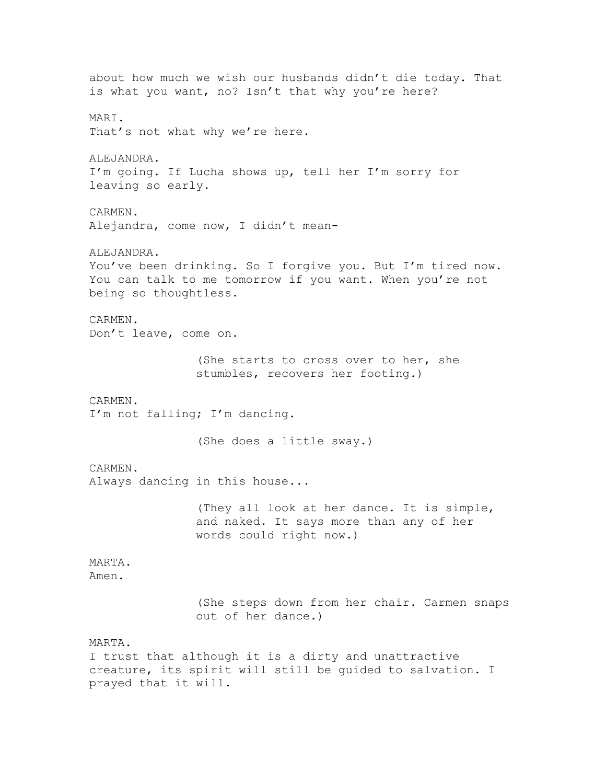about how much we wish our husbands didn't die today. That is what you want, no? Isn't that why you're here? MARI. That's not what why we're here. ALEJANDRA. I'm going. If Lucha shows up, tell her I'm sorry for leaving so early. CARMEN. Alejandra, come now, I didn't mean-ALEJANDRA. You've been drinking. So I forgive you. But I'm tired now. You can talk to me tomorrow if you want. When you're not being so thoughtless. CARMEN. Don't leave, come on. (She starts to cross over to her, she stumbles, recovers her footing.) CARMEN. I'm not falling; I'm dancing. (She does a little sway.) CARMEN. Always dancing in this house... (They all look at her dance. It is simple, and naked. It says more than any of her words could right now.) MARTA. Amen. (She steps down from her chair. Carmen snaps out of her dance.) MARTA. I trust that although it is a dirty and unattractive creature, its spirit will still be guided to salvation. I prayed that it will.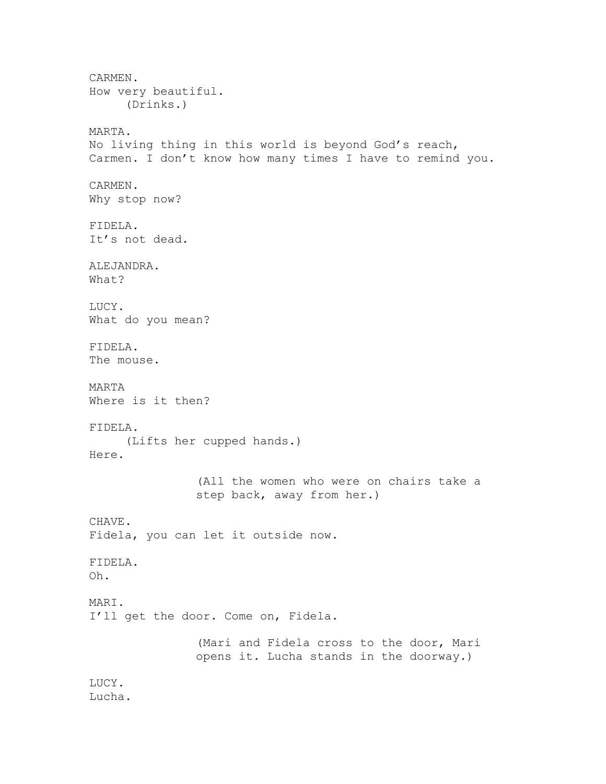CARMEN. How very beautiful. (Drinks.) MARTA. No living thing in this world is beyond God's reach, Carmen. I don't know how many times I have to remind you. CARMEN. Why stop now? FIDELA. It's not dead. ALEJANDRA. What? LUCY. What do you mean? FIDELA. The mouse. MARTA Where is it then? FIDELA. (Lifts her cupped hands.) Here. (All the women who were on chairs take a step back, away from her.) CHAVE. Fidela, you can let it outside now. FIDELA. Oh. MARI. I'll get the door. Come on, Fidela. (Mari and Fidela cross to the door, Mari opens it. Lucha stands in the doorway.) LUCY. Lucha.